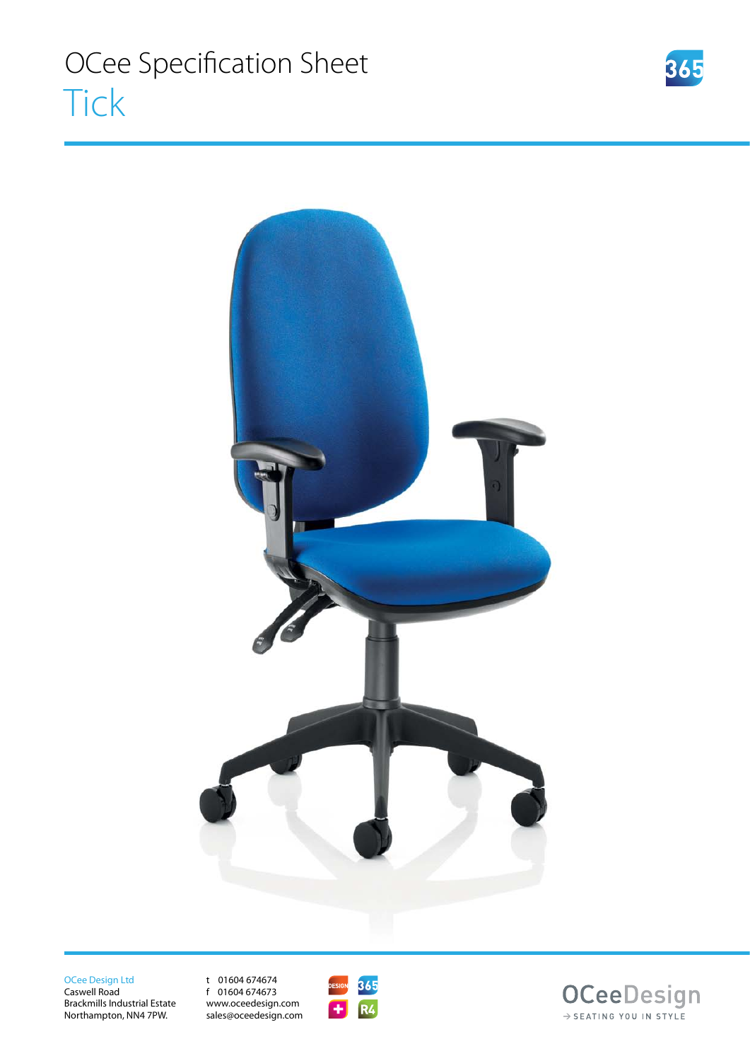

OCee Design Ltd Caswell Road

Brackmills Industrial Estate Northampton, NN4 7PW.

t 01604 674674 f 01604 674673 www.oceedesign.com sales@oceedesign.com